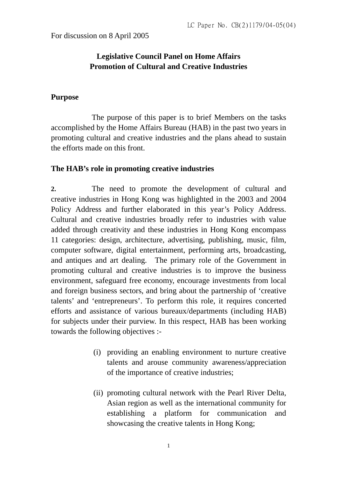For discussion on 8 April 2005

## **Legislative Council Panel on Home Affairs Promotion of Cultural and Creative Industries**

### **Purpose**

 The purpose of this paper is to brief Members on the tasks accomplished by the Home Affairs Bureau (HAB) in the past two years in promoting cultural and creative industries and the plans ahead to sustain the efforts made on this front.

#### **The HAB's role in promoting creative industries**

**2.** The need to promote the development of cultural and creative industries in Hong Kong was highlighted in the 2003 and 2004 Policy Address and further elaborated in this year's Policy Address. Cultural and creative industries broadly refer to industries with value added through creativity and these industries in Hong Kong encompass 11 categories: design, architecture, advertising, publishing, music, film, computer software, digital entertainment, performing arts, broadcasting, and antiques and art dealing. The primary role of the Government in promoting cultural and creative industries is to improve the business environment, safeguard free economy, encourage investments from local and foreign business sectors, and bring about the partnership of 'creative talents' and 'entrepreneurs'. To perform this role, it requires concerted efforts and assistance of various bureaux/departments (including HAB) for subjects under their purview. In this respect, HAB has been working towards the following objectives :-

- (i) providing an enabling environment to nurture creative talents and arouse community awareness/appreciation of the importance of creative industries;
- (ii) promoting cultural network with the Pearl River Delta, Asian region as well as the international community for establishing a platform for communication and showcasing the creative talents in Hong Kong;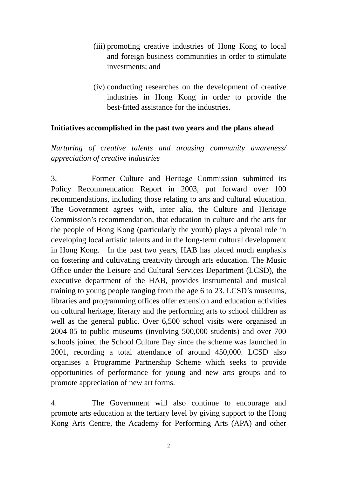- (iii) promoting creative industries of Hong Kong to local and foreign business communities in order to stimulate investments; and
- (iv) conducting researches on the development of creative industries in Hong Kong in order to provide the best-fitted assistance for the industries.

#### **Initiatives accomplished in the past two years and the plans ahead**

*Nurturing of creative talents and arousing community awareness/ appreciation of creative industries* 

3. Former Culture and Heritage Commission submitted its Policy Recommendation Report in 2003, put forward over 100 recommendations, including those relating to arts and cultural education. The Government agrees with, inter alia, the Culture and Heritage Commission's recommendation, that education in culture and the arts for the people of Hong Kong (particularly the youth) plays a pivotal role in developing local artistic talents and in the long-term cultural development in Hong Kong. In the past two years, HAB has placed much emphasis on fostering and cultivating creativity through arts education. The Music Office under the Leisure and Cultural Services Department (LCSD), the executive department of the HAB, provides instrumental and musical training to young people ranging from the age 6 to 23. LCSD's museums, libraries and programming offices offer extension and education activities on cultural heritage, literary and the performing arts to school children as well as the general public. Over 6,500 school visits were organised in 2004-05 to public museums (involving 500,000 students) and over 700 schools joined the School Culture Day since the scheme was launched in 2001, recording a total attendance of around 450,000. LCSD also organises a Programme Partnership Scheme which seeks to provide opportunities of performance for young and new arts groups and to promote appreciation of new art forms.

4. The Government will also continue to encourage and promote arts education at the tertiary level by giving support to the Hong Kong Arts Centre, the Academy for Performing Arts (APA) and other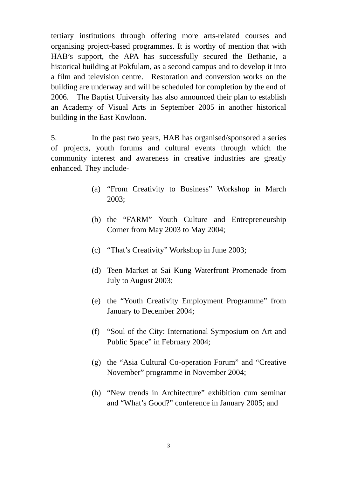tertiary institutions through offering more arts-related courses and organising project-based programmes. It is worthy of mention that with HAB's support, the APA has successfully secured the Bethanie, a historical building at Pokfulam, as a second campus and to develop it into a film and television centre. Restoration and conversion works on the building are underway and will be scheduled for completion by the end of 2006. The Baptist University has also announced their plan to establish an Academy of Visual Arts in September 2005 in another historical building in the East Kowloon.

5. In the past two years, HAB has organised/sponsored a series of projects, youth forums and cultural events through which the community interest and awareness in creative industries are greatly enhanced. They include-

- (a) "From Creativity to Business" Workshop in March 2003;
- (b) the "FARM" Youth Culture and Entrepreneurship Corner from May 2003 to May 2004;
- (c) "That's Creativity" Workshop in June 2003;
- (d) Teen Market at Sai Kung Waterfront Promenade from July to August 2003;
- (e) the "Youth Creativity Employment Programme" from January to December 2004;
- (f) "Soul of the City: International Symposium on Art and Public Space" in February 2004;
- (g) the "Asia Cultural Co-operation Forum" and "Creative November" programme in November 2004;
- (h) "New trends in Architecture" exhibition cum seminar and "What's Good?" conference in January 2005; and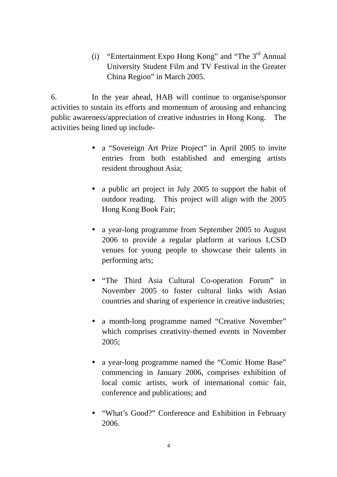(i) "Entertainment Expo Hong Kong" and "The 3rd Annual University Student Film and TV Festival in the Greater China Region" in March 2005.

6. In the year ahead, HAB will continue to organise/sponsor activities to sustain its efforts and momentum of arousing and enhancing public awareness/appreciation of creative industries in Hong Kong. The activities being lined up include-

- a "Sovereign Art Prize Project" in April 2005 to invite entries from both established and emerging artists resident throughout Asia;
- a public art project in July 2005 to support the habit of outdoor reading. This project will align with the 2005 Hong Kong Book Fair;
- a year-long programme from September 2005 to August 2006 to provide a regular platform at various LCSD venues for young people to showcase their talents in performing arts;
- "The Third Asia Cultural Co-operation Forum" in November 2005 to foster cultural links with Asian countries and sharing of experience in creative industries;
- a month-long programme named "Creative November" which comprises creativity-themed events in November 2005;
- a year-long programme named the "Comic Home Base" commencing in January 2006, comprises exhibition of local comic artists, work of international comic fair, conference and publications; and
- "What's Good?" Conference and Exhibition in February 2006.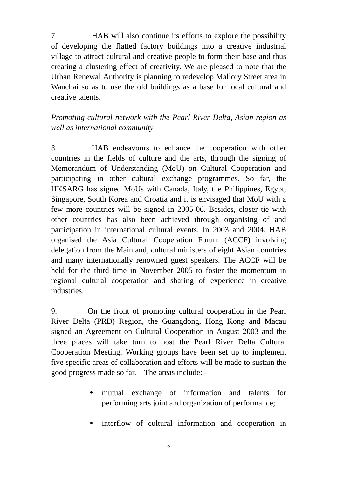7. HAB will also continue its efforts to explore the possibility of developing the flatted factory buildings into a creative industrial village to attract cultural and creative people to form their base and thus creating a clustering effect of creativity. We are pleased to note that the Urban Renewal Authority is planning to redevelop Mallory Street area in Wanchai so as to use the old buildings as a base for local cultural and creative talents.

# *Promoting cultural network with the Pearl River Delta, Asian region as well as international community*

8. HAB endeavours to enhance the cooperation with other countries in the fields of culture and the arts, through the signing of Memorandum of Understanding (MoU) on Cultural Cooperation and participating in other cultural exchange programmes. So far, the HKSARG has signed MoUs with Canada, Italy, the Philippines, Egypt, Singapore, South Korea and Croatia and it is envisaged that MoU with a few more countries will be signed in 2005-06. Besides, closer tie with other countries has also been achieved through organising of and participation in international cultural events. In 2003 and 2004, HAB organised the Asia Cultural Cooperation Forum (ACCF) involving delegation from the Mainland, cultural ministers of eight Asian countries and many internationally renowned guest speakers. The ACCF will be held for the third time in November 2005 to foster the momentum in regional cultural cooperation and sharing of experience in creative industries.

9. On the front of promoting cultural cooperation in the Pearl River Delta (PRD) Region, the Guangdong, Hong Kong and Macau signed an Agreement on Cultural Cooperation in August 2003 and the three places will take turn to host the Pearl River Delta Cultural Cooperation Meeting. Working groups have been set up to implement five specific areas of collaboration and efforts will be made to sustain the good progress made so far. The areas include: -

- y mutual exchange of information and talents for performing arts joint and organization of performance;
- interflow of cultural information and cooperation in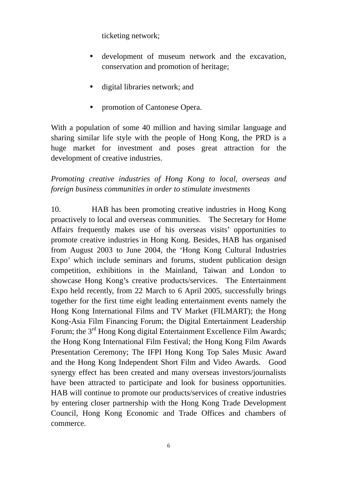ticketing network;

- development of museum network and the excavation, conservation and promotion of heritage;
- digital libraries network; and
- promotion of Cantonese Opera.

With a population of some 40 million and having similar language and sharing similar life style with the people of Hong Kong, the PRD is a huge market for investment and poses great attraction for the development of creative industries.

*Promoting creative industries of Hong Kong to local, overseas and foreign business communities in order to stimulate investments* 

10. HAB has been promoting creative industries in Hong Kong proactively to local and overseas communities. The Secretary for Home Affairs frequently makes use of his overseas visits' opportunities to promote creative industries in Hong Kong. Besides, HAB has organised from August 2003 to June 2004, the 'Hong Kong Cultural Industries Expo' which include seminars and forums, student publication design competition, exhibitions in the Mainland, Taiwan and London to showcase Hong Kong's creative products/services. The Entertainment Expo held recently, from 22 March to 6 April 2005, successfully brings together for the first time eight leading entertainment events namely the Hong Kong International Films and TV Market (FILMART); the Hong Kong-Asia Film Financing Forum; the Digital Entertainment Leadership Forum; the 3<sup>rd</sup> Hong Kong digital Entertainment Excellence Film Awards; the Hong Kong International Film Festival; the Hong Kong Film Awards Presentation Ceremony; The IFPI Hong Kong Top Sales Music Award and the Hong Kong Independent Short Film and Video Awards. Good synergy effect has been created and many overseas investors/journalists have been attracted to participate and look for business opportunities. HAB will continue to promote our products/services of creative industries by entering closer partnership with the Hong Kong Trade Development Council, Hong Kong Economic and Trade Offices and chambers of commerce.